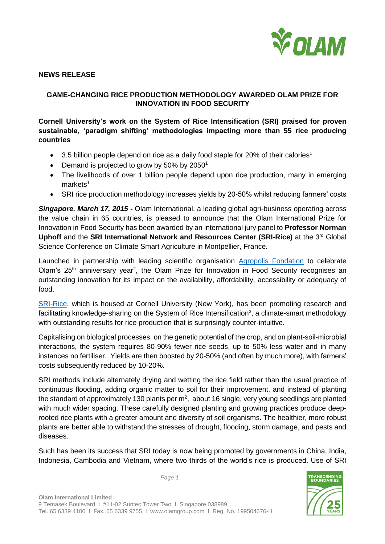

### **NEWS RELEASE**

# **GAME-CHANGING RICE PRODUCTION METHODOLOGY AWARDED OLAM PRIZE FOR INNOVATION IN FOOD SECURITY**

# **Cornell University's work on the System of Rice Intensification (SRI) praised for proven sustainable, 'paradigm shifting' methodologies impacting more than 55 rice producing countries**

- $\bullet$  3.5 billion people depend on rice as a daily food staple for 20% of their calories<sup>1</sup>
- Demand is projected to grow by 50% by 2050<sup>1</sup>
- The livelihoods of over 1 billion people depend upon rice production, many in emerging  $markets<sup>1</sup>$
- SRI rice production methodology increases yields by 20-50% whilst reducing farmers' costs

*Singapore, March 17, 2015 -* Olam International, a leading global agri-business operating across the value chain in 65 countries, is pleased to announce that the Olam International Prize for Innovation in Food Security has been awarded by an international jury panel to **Professor Norman Uphoff** and the **SRI International Network and Resources Center (SRI-Rice)** at the 3rd Global Science Conference on Climate Smart Agriculture in Montpellier, France.

Launched in partnership with leading scientific organisation [Agropolis Fondation](http://www.agropolis-fondation.fr/) to celebrate Olam's  $25<sup>th</sup>$  anniversary year<sup>2</sup>, the Olam Prize for Innovation in Food Security recognises an outstanding innovation for its impact on the availability, affordability, accessibility or adequacy of food.

[SRI-Rice,](http://sri.cals.cornell.edu/) which is housed at Cornell University (New York), has been promoting research and facilitating knowledge-sharing on the System of Rice Intensification<sup>3</sup>, a climate-smart methodology with outstanding results for rice production that is surprisingly counter-intuitive.

Capitalising on biological processes, on the genetic potential of the crop, and on plant-soil-microbial interactions, the system requires 80-90% fewer rice seeds, up to 50% less water and in many instances no fertiliser. Yields are then boosted by 20-50% (and often by much more), with farmers' costs subsequently reduced by 10-20%.

SRI methods include alternately drying and wetting the rice field rather than the usual practice of continuous flooding, adding organic matter to soil for their improvement, and instead of planting the standard of approximately 130 plants per m<sup>2</sup>, about 16 single, very young seedlings are planted with much wider spacing. These carefully designed planting and growing practices produce deeprooted rice plants with a greater amount and diversity of soil organisms. The healthier, more robust plants are better able to withstand the stresses of drought, flooding, storm damage, and pests and diseases.

Such has been its success that SRI today is now being promoted by governments in China, India, Indonesia, Cambodia and Vietnam, where two thirds of the world's rice is produced. Use of SRI



*Page 1*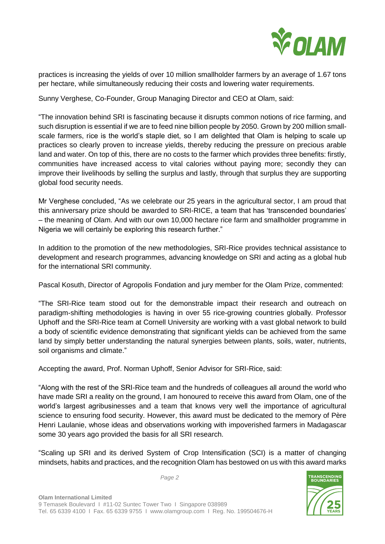

practices is increasing the yields of over 10 million smallholder farmers by an average of 1.67 tons per hectare, while simultaneously reducing their costs and lowering water requirements.

Sunny Verghese, Co-Founder, Group Managing Director and CEO at Olam, said:

"The innovation behind SRI is fascinating because it disrupts common notions of rice farming, and such disruption is essential if we are to feed nine billion people by 2050. Grown by 200 million smallscale farmers, rice is the world's staple diet, so I am delighted that Olam is helping to scale up practices so clearly proven to increase yields, thereby reducing the pressure on precious arable land and water. On top of this, there are no costs to the farmer which provides three benefits: firstly, communities have increased access to vital calories without paying more; secondly they can improve their livelihoods by selling the surplus and lastly, through that surplus they are supporting global food security needs.

Mr Verghese concluded, "As we celebrate our 25 years in the agricultural sector, I am proud that this anniversary prize should be awarded to SRI-RICE, a team that has 'transcended boundaries' – the meaning of Olam. And with our own 10,000 hectare rice farm and smallholder programme in Nigeria we will certainly be exploring this research further."

In addition to the promotion of the new methodologies, SRI-Rice provides technical assistance to development and research programmes, advancing knowledge on SRI and acting as a global hub for the international SRI community.

Pascal Kosuth, Director of Agropolis Fondation and jury member for the Olam Prize, commented:

"The SRI-Rice team stood out for the demonstrable impact their research and outreach on paradigm-shifting methodologies is having in over 55 rice-growing countries globally. Professor Uphoff and the SRI-Rice team at Cornell University are working with a vast global network to build a body of scientific evidence demonstrating that significant yields can be achieved from the same land by simply better understanding the natural synergies between plants, soils, water, nutrients, soil organisms and climate."

Accepting the award, Prof. Norman Uphoff, Senior Advisor for SRI-Rice, said:

"Along with the rest of the SRI-Rice team and the hundreds of colleagues all around the world who have made SRI a reality on the ground, I am honoured to receive this award from Olam, one of the world's largest agribusinesses and a team that knows very well the importance of agricultural science to ensuring food security. However, this award must be dedicated to the memory of Père Henri Laulanie, whose ideas and observations working with impoverished farmers in Madagascar some 30 years ago provided the basis for all SRI research.

"Scaling up SRI and its derived System of Crop Intensification (SCI) is a matter of changing mindsets, habits and practices, and the recognition Olam has bestowed on us with this award marks



*Page 2*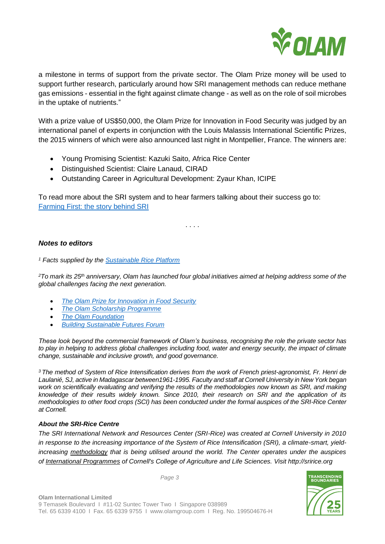

a milestone in terms of support from the private sector. The Olam Prize money will be used to support further research, particularly around how SRI management methods can reduce methane gas emissions - essential in the fight against climate change - as well as on the role of soil microbes in the uptake of nutrients."

With a prize value of US\$50,000, the Olam Prize for Innovation in Food Security was judged by an international panel of experts in conjunction with the Louis Malassis International Scientific Prizes, the 2015 winners of which were also announced last night in Montpellier, France. The winners are:

- Young Promising Scientist: Kazuki Saito, Africa Rice Center
- Distinguished Scientist: Claire Lanaud, CIRAD
- Outstanding Career in Agricultural Development: Zyaur Khan, ICIPE

To read more about the SRI system and to hear farmers talking about their success go to: [Farming First: the story behind SRI](file://gongfp01/Share/Olam%202015/9%20-%2025%20Anniversary/Agropolis%20Prize/PR%20for%20Prize/Farming%20First:%20the%20story%20behind%20SRI) 

. . . .

## *Notes to editors*

*<sup>1</sup> Facts supplied by the [Sustainable Rice Platform](http://www.sustainablerice.org/rice_facts.html)*

*<sup>2</sup>To mark its 25th anniversary, Olam has launched four global initiatives aimed at helping address some of the global challenges facing the next generation.*

- *[The Olam Prize for Innovation in Food Security](http://olamgroup.com/about-us/our-heritage/25th-anniversary-initiatives/olam-prize-innovation-food-security/)*
- *[The Olam Scholarship Programme](http://olamgroup.com/about-us/our-heritage/25th-anniversary-initiatives/olam-scholarship-programme/)*
- *[The Olam Foundation](http://olamgroup.com/about-us/our-heritage/25th-anniversary-initiatives/olam-foundation/)*
- *[Building Sustainable Futures Forum](http://olamgroup.com/about-us/our-heritage/25th-anniversary-initiatives/building-sustainable-futures-forum/)*

*These look beyond the commercial framework of Olam's business, recognising the role the private sector has*  to play in helping to address global challenges including food, water and energy security, the impact of climate *change, sustainable and inclusive growth, and good governance.* 

*<sup>3</sup> The method of System of Rice Intensification derives from the work of French priest-agronomist, Fr. Henri de Laulanié, SJ, active in Madagascar between1961-1995. Faculty and staff at Cornell University in New York began work on scientifically evaluating and verifying the results of the methodologies now known as SRI, and making knowledge of their results widely known. Since 2010, their research on SRI and the application of its methodologies to other food crops (SCI) has been conducted under the formal auspices of the SRI-Rice Center at Cornell.* 

### *About the SRI-Rice Centre*

*The SRI International Network and Resources Center (SRI-Rice) was created at Cornell University in 2010 in response to the increasing importance of the System of Rice Intensification (SRI), a climate-smart, yieldincreasing [methodology](http://sri.ciifad.cornell.edu/aboutsri/methods/index.html) that is being utilised around the world. The Center operates under the auspices of International [Programmes](http://ip.cals.cornell.edu/) of Cornell's College of Agriculture and Life Sciences. Visit http://sririce.org*

*Page 3*